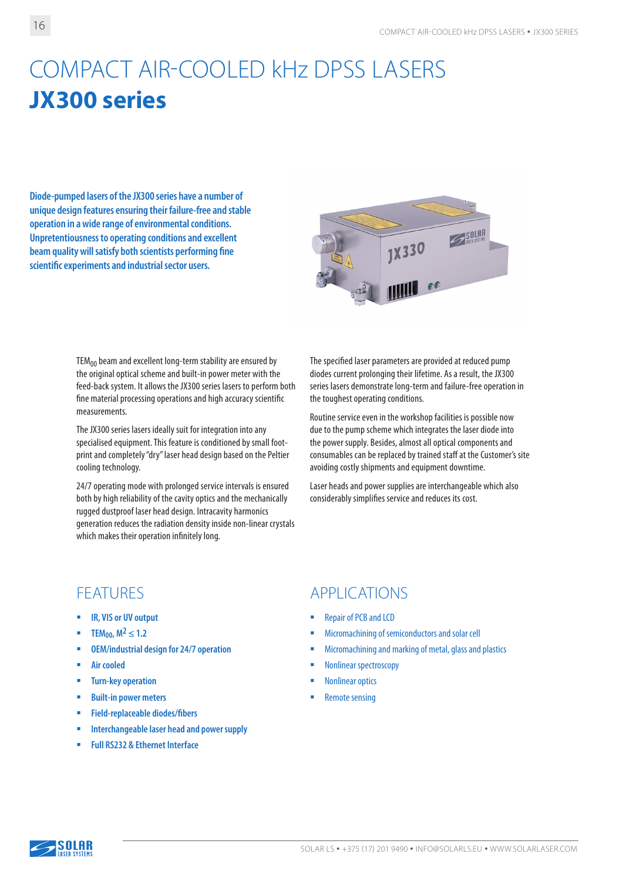# COMPACT AIR-COOLED kHz DPSS LASERS **JХ300 series**

**Diode-pumped lasers of the JX300 series have a number of unique design features ensuring their failure-free and stable operation in a wide range of environmental conditions. Unpretentiousness to operating conditions and excellent beam quality will satisfy both scientists performing fine scientific experiments and industrial sector users.**



 $TEM_{00}$  beam and excellent long-term stability are ensured by the original optical scheme and built-in power meter with the feed-back system. It allows the JX300 series lasers to perform both fine material processing operations and high accuracy scientific measurements.

The JX300 series lasers ideally suit for integration into any specialised equipment. This feature is conditioned by small footprint and completely "dry" laser head design based on the Peltier cooling technology.

24/7 operating mode with prolonged service intervals is ensured both by high reliability of the cavity optics and the mechanically rugged dustproof laser head design. Intracavity harmonics generation reduces the radiation density inside non-linear crystals which makes their operation infinitely long.

The specified laser parameters are provided at reduced pump diodes current prolonging their lifetime. As a result, the JX300 series lasers demonstrate long-term and failure-free operation in the toughest operating conditions.

Routine service even in the workshop facilities is possible now due to the pump scheme which integrates the laser diode into the power supply. Besides, almost all optical components and consumables can be replaced by trained staff at the Customer's site avoiding costly shipments and equipment downtime.

Laser heads and power supplies are interchangeable which also considerably simplifies service and reduces its cost.

- **IR, VIS or UV output**
- **TEM**<sub>00</sub>,  $M^2 \le 1.2$
- **OEM/industrial design for 24/7 operation**
- **Air cooled**
- **Turn-key operation**
- **Built-in power meters**
- **Field-replaceable diodes/fibers**
- **Interchangeable laser head and power supply**
- **Full RS232 & Ethernet Interface**

### FEATURES APPLICATIONS

- Repair of PCB and LCD
- Micromachining of semiconductors and solar cell
- Micromachining and marking of metal, glass and plastics
- **Nonlinear spectroscopy**
- Nonlinear optics
- Remote sensing